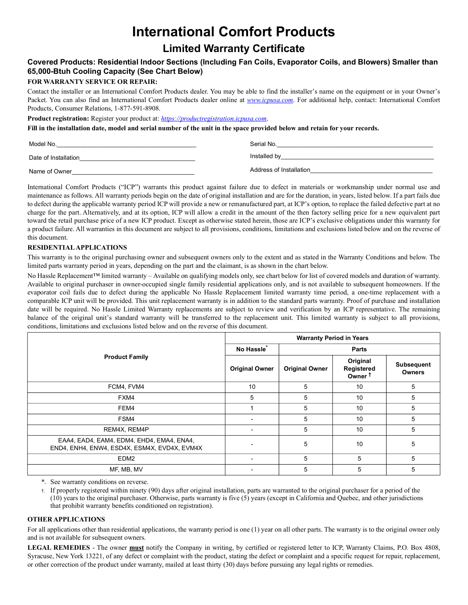# **International Comfort Products**

## **Limited Warranty Certificate**

### **Covered Products: Residential Indoor Sections (Including Fan Coils, Evaporator Coils, and Blowers) Smaller than 65,000-Btuh Cooling Capacity (See Chart Below)**

#### **FOR WARRANTY SERVICE OR REPAIR:**

Contact the installer or an International Comfort Products dealer. You may be able to find the installer's name on the equipment or in your Owner's Packet. You can also find an International Comfort Products dealer online at *www.icpusa.com*. For additional help, contact: International Comfort Products, Consumer Relations, 1-877-591-8908.

**Product registration:** Register your product at: *https://productregistration.icpusa.com*.

**Fill in the installation date, model and serial number of the unit in the space provided below and retain for your records.**

| Model No.            | Serial No.              |
|----------------------|-------------------------|
| Date of Installation | Installed by            |
| Name of Owner        | Address of Installation |

International Comfort Products ("ICP") warrants this product against failure due to defect in materials or workmanship under normal use and maintenance as follows. All warranty periods begin on the date of original installation and are for the duration, in years, listed below. If a part fails due to defect during the applicable warranty period ICP will provide a new or remanufactured part, at ICP's option, to replace the failed defective part at no charge for the part. Alternatively, and at its option, ICP will allow a credit in the amount of the then factory selling price for a new equivalent part toward the retail purchase price of a new ICP product. Except as otherwise stated herein, those are ICP's exclusive obligations under this warranty for a product failure. All warranties in this document are subject to all provisions, conditions, limitations and exclusions listed below and on the reverse of this document.

#### **RESIDENTIAL APPLICATIONS**

This warranty is to the original purchasing owner and subsequent owners only to the extent and as stated in the Warranty Conditions and below. The limited parts warranty period in years, depending on the part and the claimant, is as shown in the chart below.

No Hassle Replacement™ limited warranty – Available on qualifying models only, see chart below for list of covered models and duration of warranty. Available to original purchaser in owner-occupied single family residential applications only, and is not available to subsequent homeowners. If the evaporator coil fails due to defect during the applicable No Hassle Replacement limited warranty time period, a one-time replacement with a comparable ICP unit will be provided. This unit replacement warranty is in addition to the standard parts warranty. Proof of purchase and installation date will be required. No Hassle Limited Warranty replacements are subject to review and verification by an ICP representative. The remaining balance of the original unit's standard warranty will be transferred to the replacement unit. This limited warranty is subject to all provisions, conditions, limitations and exclusions listed below and on the reverse of this document.

|                                                                                           | <b>Warranty Period in Years</b> |                       |                                              |                                    |
|-------------------------------------------------------------------------------------------|---------------------------------|-----------------------|----------------------------------------------|------------------------------------|
| <b>Product Family</b>                                                                     | No Hassle <sup>®</sup>          | <b>Parts</b>          |                                              |                                    |
|                                                                                           | <b>Original Owner</b>           | <b>Original Owner</b> | Original<br>Registered<br>Owner <sup>t</sup> | <b>Subsequent</b><br><b>Owners</b> |
| FCM4, FVM4                                                                                | 10                              | 5                     | 10                                           | 5                                  |
| FXM4                                                                                      | 5                               | 5                     | 10                                           | 5                                  |
| FEM4                                                                                      |                                 | 5                     | 10                                           | 5                                  |
| FSM4                                                                                      |                                 | 5                     | 10                                           | 5                                  |
| REM4X, REM4P                                                                              |                                 | 5                     | 10                                           | 5                                  |
| EAA4, EAD4, EAM4, EDM4, EHD4, EMA4, ENA4,<br>END4, ENH4, ENW4, ESD4X, ESM4X, EVD4X, EVM4X |                                 | 5                     | 10                                           | 5                                  |
| EDM <sub>2</sub>                                                                          |                                 | 5                     | 5                                            | 5                                  |
| MF, MB, MV                                                                                |                                 | 5                     | 5                                            | 5                                  |

\*. See warranty conditions on reverse.

†. If properly registered within ninety (90) days after original installation, parts are warranted to the original purchaser for a period of the (10) years to the original purchaser. Otherwise, parts warranty is five (5) years (except in California and Quebec, and other jurisdictions that prohibit warranty benefits conditioned on registration).

#### **OTHER APPLICATIONS**

For all applications other than residential applications, the warranty period is one (1) year on all other parts. The warranty is to the original owner only and is not available for subsequent owners.

**LEGAL REMEDIES** - The owner **must** notify the Company in writing, by certified or registered letter to ICP, Warranty Claims, P.O. Box 4808, Syracuse, New York 13221, of any defect or complaint with the product, stating the defect or complaint and a specific request for repair, replacement, or other correction of the product under warranty, mailed at least thirty (30) days before pursuing any legal rights or remedies.